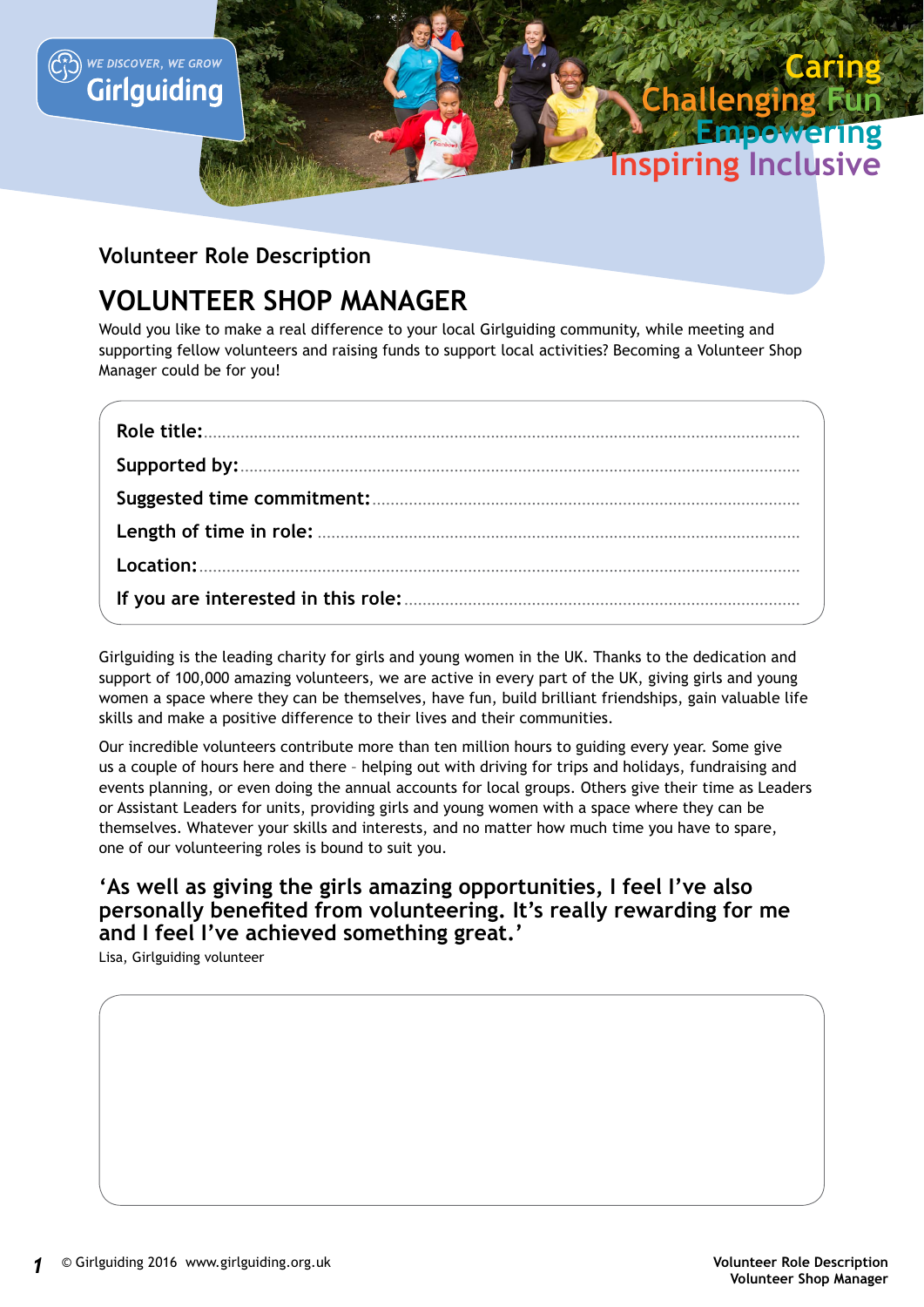

## **Caring Challenging Inspiring Inclusive Fun Empowering**

## **Volunteer Role Description**

## **VOLUNTEER SHOP MANAGER**

Would you like to make a real difference to your local Girlguiding community, while meeting and supporting fellow volunteers and raising funds to support local activities? Becoming a Volunteer Shop Manager could be for you!

Girlguiding is the leading charity for girls and young women in the UK. Thanks to the dedication and support of 100,000 amazing volunteers, we are active in every part of the UK, giving girls and young women a space where they can be themselves, have fun, build brilliant friendships, gain valuable life skills and make a positive difference to their lives and their communities.

Our incredible volunteers contribute more than ten million hours to guiding every year. Some give us a couple of hours here and there – helping out with driving for trips and holidays, fundraising and events planning, or even doing the annual accounts for local groups. Others give their time as Leaders or Assistant Leaders for units, providing girls and young women with a space where they can be themselves. Whatever your skills and interests, and no matter how much time you have to spare, one of our volunteering roles is bound to suit you.

## **'As well as giving the girls amazing opportunities, I feel I've also personally benefited from volunteering. It's really rewarding for me and I feel I've achieved something great.'**

Lisa, Girlguiding volunteer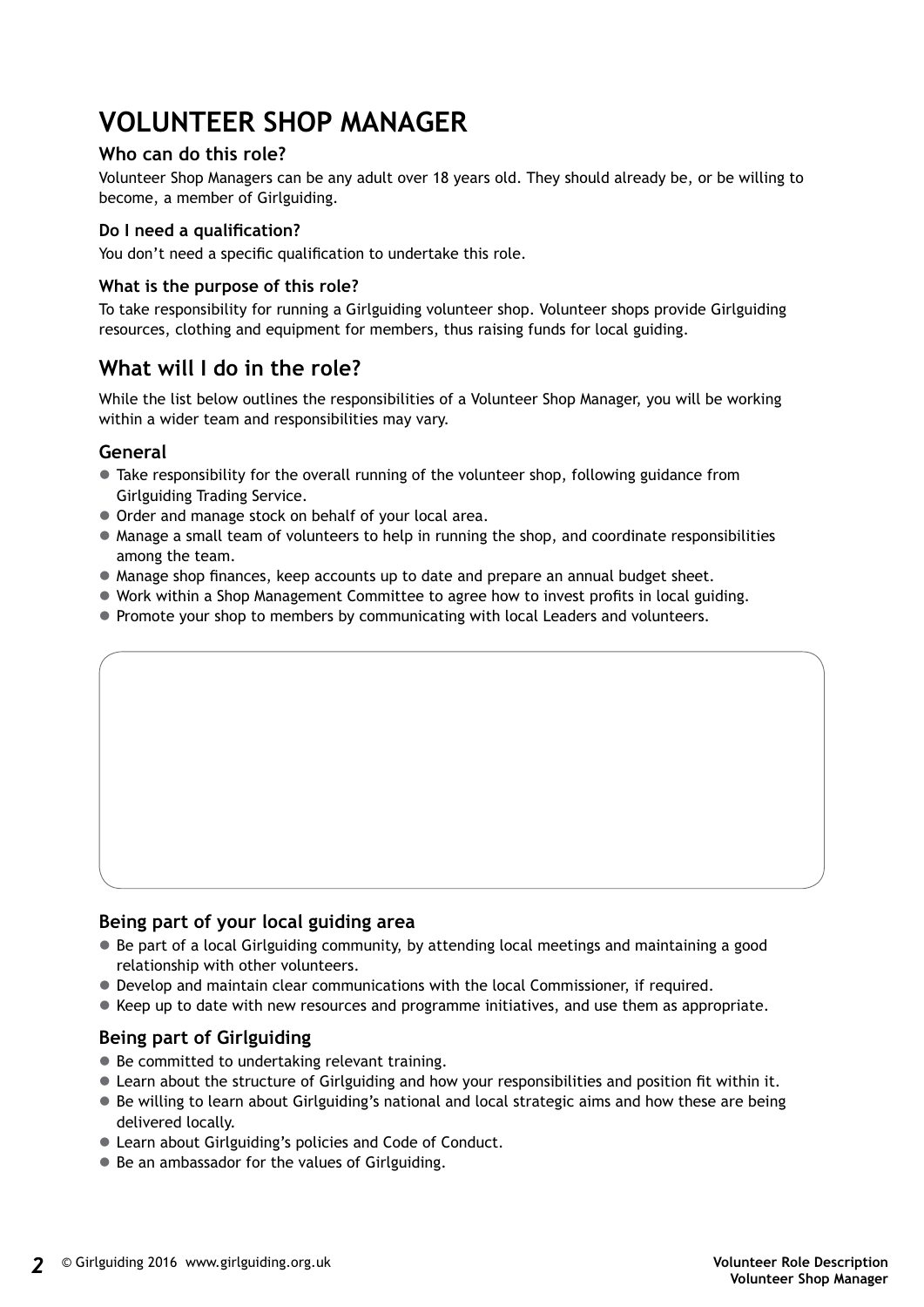# **VOLUNTEER SHOP MANAGER**

#### **Who can do this role?**

Volunteer Shop Managers can be any adult over 18 years old. They should already be, or be willing to become, a member of Girlguiding.

#### **Do I need a qualification?**

You don't need a specific qualification to undertake this role.

#### **What is the purpose of this role?**

To take responsibility for running a Girlguiding volunteer shop. Volunteer shops provide Girlguiding resources, clothing and equipment for members, thus raising funds for local guiding.

## **What will I do in the role?**

While the list below outlines the responsibilities of a Volunteer Shop Manager, you will be working within a wider team and responsibilities may vary.

#### **General**

- Take responsibility for the overall running of the volunteer shop, following guidance from Girlguiding Trading Service.
- Order and manage stock on behalf of your local area.
- $\bullet$  Manage a small team of volunteers to help in running the shop, and coordinate responsibilities among the team.
- Manage shop finances, keep accounts up to date and prepare an annual budget sheet.
- Work within a Shop Management Committee to agree how to invest profits in local guiding.
- Promote your shop to members by communicating with local Leaders and volunteers.

#### **Being part of your local guiding area**

- $\bullet$  Be part of a local Girlguiding community, by attending local meetings and maintaining a good relationship with other volunteers.
- $\bullet$  Develop and maintain clear communications with the local Commissioner, if required.
- Keep up to date with new resources and programme initiatives, and use them as appropriate.

#### **Being part of Girlguiding**

- Be committed to undertaking relevant training.
- Learn about the structure of Girlguiding and how your responsibilities and position fit within it.
- $\bullet$  Be willing to learn about Girlguiding's national and local strategic aims and how these are being delivered locally.
- Learn about Girlguiding's policies and Code of Conduct.
- Be an ambassador for the values of Girlguiding.